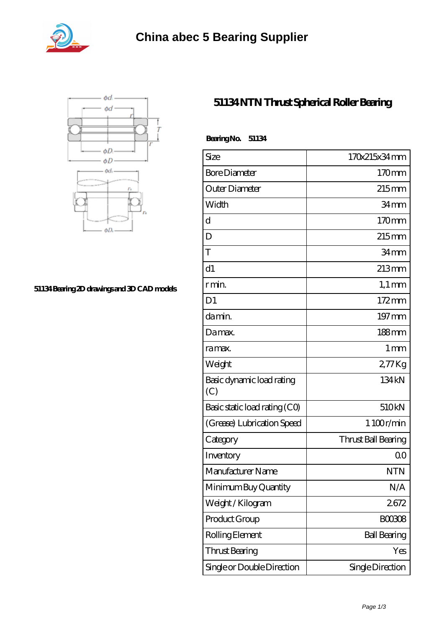



## **[51134 Bearing 2D drawings and 3D CAD models](https://abtrio.com/pic-1075474.html)**

## **[51134 NTN Thrust Spherical Roller Bearing](https://abtrio.com/cylindrical-roller-bearing/51134.html)**

| BearingNo.<br>51134              |                     |
|----------------------------------|---------------------|
| Size                             | 170x215x34mm        |
| <b>Bore Diameter</b>             | 170mm               |
| Outer Diameter                   | $215$ mm            |
| Width                            | 34 <sub>mm</sub>    |
| d                                | 170mm               |
| D                                | $215$ mm            |
| T                                | 34mm                |
| d1                               | $213 \text{mm}$     |
| r min.                           | $1,1 \text{ mm}$    |
| D <sub>1</sub>                   | $172 \,\mathrm{mm}$ |
| damin.                           | 197 mm              |
| Damax.                           | 188mm               |
| ra max.                          | 1 <sub>mm</sub>     |
| Weight                           | 277Kg               |
| Basic dynamic load rating<br>(C) | 134 kN              |
| Basic static load rating (CO)    | 510kN               |
| (Grease) Lubrication Speed       | 1 100r/min          |
| Category                         | Thrust Ball Bearing |
| Inventory                        | 0 <sup>0</sup>      |
| Manufacturer Name                | <b>NTN</b>          |
| Minimum Buy Quantity             | N/A                 |
| Weight / Kilogram                | 2672                |
| Product Group                    | <b>BOO3O8</b>       |
| Rolling Element                  | <b>Ball Bearing</b> |
| Thrust Bearing                   | Yes                 |
| Single or Double Direction       | Single Direction    |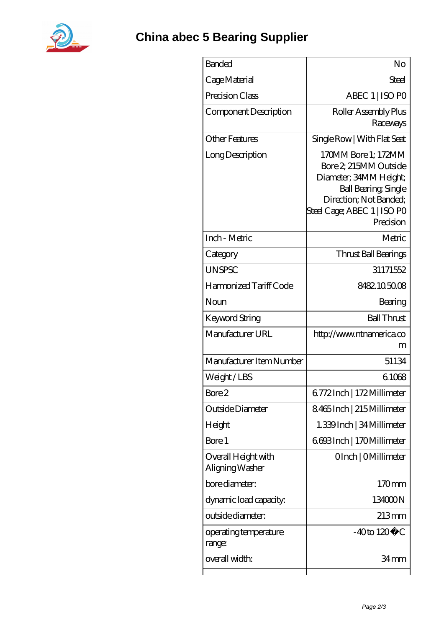

| <b>Banded</b>                          | No                                                                                                                                                                          |
|----------------------------------------|-----------------------------------------------------------------------------------------------------------------------------------------------------------------------------|
| Cage Material                          | Steel                                                                                                                                                                       |
| Precision Class                        | ABEC 1   ISO PO                                                                                                                                                             |
| Component Description                  | Roller Assembly Plus<br>Raceways                                                                                                                                            |
| <b>Other Features</b>                  | Single Row   With Flat Seat                                                                                                                                                 |
| Long Description                       | 170MM Bore 1; 172MM<br>Bore 2, 215MM Outside<br>Diameter; 34MM Height;<br><b>Ball Bearing, Single</b><br>Direction; Not Banded;<br>Steel Cage; ABEC 1   ISO PO<br>Precision |
| Inch - Metric                          | Metric                                                                                                                                                                      |
| Category                               | Thrust Ball Bearings                                                                                                                                                        |
| <b>UNSPSC</b>                          | 31171552                                                                                                                                                                    |
| Harmonized Tariff Code                 | 8482.105008                                                                                                                                                                 |
| Noun                                   | Bearing                                                                                                                                                                     |
| Keyword String                         | <b>Ball Thrust</b>                                                                                                                                                          |
| Manufacturer URL                       | http://www.ntnamerica.co<br>m                                                                                                                                               |
| Manufacturer Item Number               | 51134                                                                                                                                                                       |
| Weight/LBS                             | 61068                                                                                                                                                                       |
| Bore 2                                 | 6772Inch   172Millimeter                                                                                                                                                    |
| Outside Diameter                       | 8465Inch   215 Millimeter                                                                                                                                                   |
| Height                                 | 1.339 Inch   34 Millimeter                                                                                                                                                  |
| Bore 1                                 | 6693Inch   170Millimeter                                                                                                                                                    |
| Overall Height with<br>Aligning Washer | OInch   OMillimeter                                                                                                                                                         |
| bore diameter:                         | 170mm                                                                                                                                                                       |
| dynamic load capacity.                 | 134000N                                                                                                                                                                     |
| outside diameter:                      | $213 \text{mm}$                                                                                                                                                             |
| operating temperature<br>range:        | $-40$ to $120^{\circ}$ C                                                                                                                                                    |
| overall width:                         | 34 mm                                                                                                                                                                       |
|                                        |                                                                                                                                                                             |